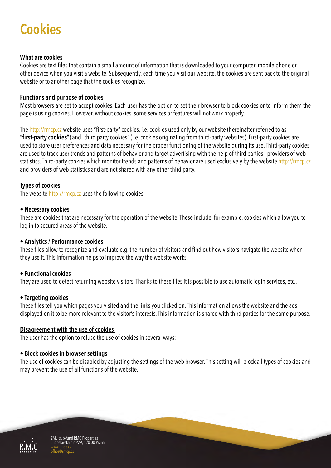# **Cookies**

## **What are cookies**

Cookies are text files that contain a small amount of information that is downloaded to your computer, mobile phone or other device when you visit a website. Subsequently, each time you visit our website, the cookies are sent back to the original website or to another page that the cookies recognize.

## **Functions and purpose of cookies**

Most browsers are set to accept cookies. Each user has the option to set their browser to block cookies or to inform them the page is using cookies. However, without cookies, some services or features will not work properly.

The http://rmcp.cz website uses "first-party" cookies, i.e. cookies used only by our website (hereinafter referred to as **"first-party cookies"**) and "third party cookies" (i.e. cookies originating from third-party websites). First-party cookies are used to store user preferences and data necessary for the proper functioning of the website during its use. Third-party cookies are used to track user trends and patterns of behavior and target advertising with the help of third parties - providers of web statistics. Third-party cookies which monitor trends and patterns of behavior are used exclusively by the website http://rmcp.cz and providers of web statistics and are not shared with any other third party.

## **Types of cookies**

The website http://rmcp.cz uses the following cookies:

#### • **Necessary cookies**

These are cookies that are necessary for the operation of the website. These include, for example, cookies which allow you to log in to secured areas of the website.

## • **Analytics / Performance cookies**

These files allow to recognize and evaluate e.g. the number of visitors and find out how visitors navigate the website when they use it. This information helps to improve the way the website works.

## • **Functional cookies**

They are used to detect returning website visitors. Thanks to these files it is possible to use automatic login services, etc..

## • **Targeting cookies**

These files tell you which pages you visited and the links you clicked on. This information allows the website and the ads displayed on it to be more relevant to the visitor's interests. This information is shared with third parties for the same purpose.

#### **Disagreement with the use of cookies**

The user has the option to refuse the use of cookies in several ways:

#### • **Block cookies in browser settings**

The use of cookies can be disabled by adjusting the settings of the web browser. This setting will block all types of cookies and may prevent the use of all functions of the website.



ZMJ, sub-fund RMC Properties Jugoslávska 620/29, 120 00 Praha www.rmcp.cz office@rmcp.cz